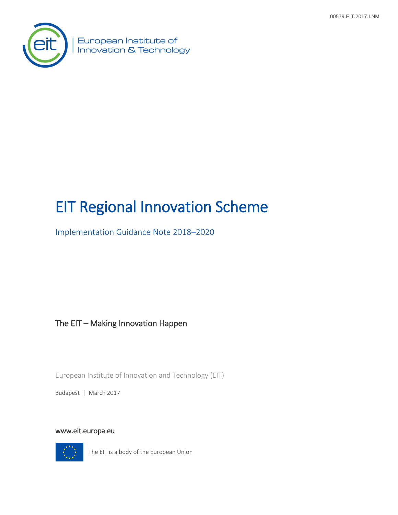

European Institute of Innovation & Technology

# EIT Regional Innovation Scheme

Implementation Guidance Note 2018–2020

The EIT – Making Innovation Happen

European Institute of Innovation and Technology (EIT)

Budapest | March 2017

[www.eit.europa.eu](http://www.eit.europa.eu/) 



The EIT is a body of the European Union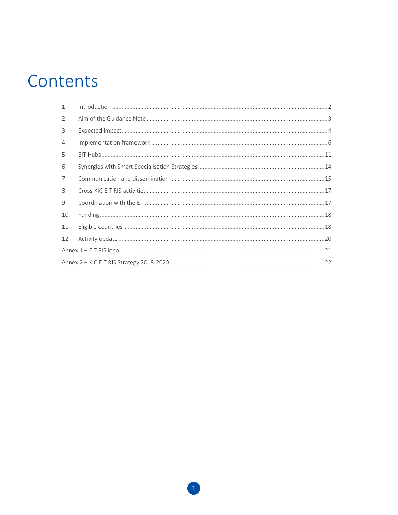# Contents

| $\mathbf{1}$ . |  |  |  |
|----------------|--|--|--|
| 2.             |  |  |  |
| 3.             |  |  |  |
| 4.             |  |  |  |
| 5.             |  |  |  |
| 6.             |  |  |  |
| 7.             |  |  |  |
| 8.             |  |  |  |
| 9.             |  |  |  |
| 10.            |  |  |  |
| 11.            |  |  |  |
| 12.            |  |  |  |
|                |  |  |  |
|                |  |  |  |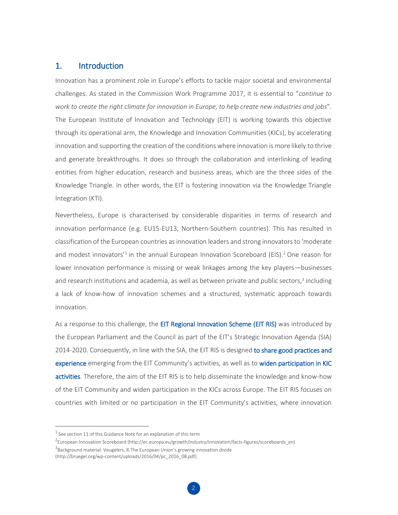## <span id="page-2-0"></span>1. Introduction

Innovation has a prominent role in Europe's efforts to tackle major societal and environmental challenges. As stated in the Commission Work Programme 2017, it is essential to "*continue to work to create the right climate for innovation in Europe, to help create new industries and jobs*". The European Institute of Innovation and Technology (EIT) is working towards this objective through its operational arm, the Knowledge and Innovation Communities (KICs), by accelerating innovation and supporting the creation of the conditions where innovation is more likely to thrive and generate breakthroughs. It does so through the collaboration and interlinking of leading entities from higher education, research and business areas, which are the three sides of the Knowledge Triangle. In other words, the EIT is fostering innovation via the Knowledge Triangle Integration (KTI).

Nevertheless, Europe is characterised by considerable disparities in terms of research and innovation performance (e.g. EU15-EU13, Northern-Southern countries). This has resulted in classification of the European countries as innovation leaders and strong innovators to 'moderate and modest innovators<sup>1</sup> in the annual European Innovation Scoreboard (EIS).<sup>2</sup> One reason for lower innovation performance is missing or weak linkages among the key players—businesses and research institutions and academia, as well as between private and public sectors,<sup>3</sup> including a lack of know-how of innovation schemes and a structured, systematic approach towards innovation.

As a response to this challenge, the EIT Regional Innovation Scheme (EIT RIS) was introduced by the European Parliament and the Council as part of the EIT's Strategic Innovation Agenda (SIA) 2014-2020. Consequently, in line with the SIA, the EIT RIS is designed to share good practices and experience emerging from the EIT Community's activities, as well as to widen participation in KIC activities. Therefore, the aim of the EIT RIS is to help disseminate the knowledge and know-how of the EIT Community and widen participation in the KICs across Europe. The EIT RIS focuses on countries with limited or no participation in the EIT Community's activities, where innovation

 $<sup>1</sup>$  See section 11 of this Guidance Note for an explanation of this term</sup>

<sup>&</sup>lt;sup>2</sup>European Innovation Scoreboard (http://ec.europa.eu/growth/industry/innovation/facts-figures/scoreboards\_en)

<sup>&</sup>lt;sup>3</sup>Background material: Veugelers[, R.T](http://bruegel.org/author/reinhilde-veugelers/)he European Union's growing innovation divide

<sup>(</sup>http://bruegel.org/wp-content/uploads/2016/04/pc\_2016\_08.pdf)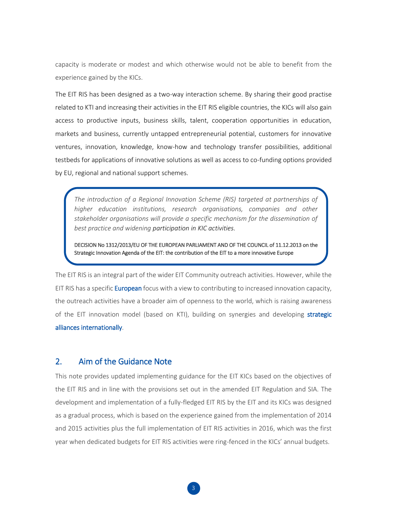capacity is moderate or modest and which otherwise would not be able to benefit from the experience gained by the KICs.

The EIT RIS has been designed as a two-way interaction scheme. By sharing their good practise related to KTI and increasing their activities in the EIT RIS eligible countries, the KICs will also gain access to productive inputs, business skills, talent, cooperation opportunities in education, markets and business, currently untapped entrepreneurial potential, customers for innovative ventures, innovation, knowledge, know-how and technology transfer possibilities, additional testbeds for applications of innovative solutions as well as access to co-funding options provided by EU, regional and national support schemes.

*The introduction of a Regional Innovation Scheme (RIS) targeted at partnerships of higher education institutions, research organisations, companies and other stakeholder organisations will provide a specific mechanism for the dissemination of best practice and widening participation in KIC activities.*

DECISION No 1312/2013/EU OF THE EUROPEAN PARLIAMENT AND OF THE COUNCIL of 11.12.2013 on the Strategic Innovation Agenda of the EIT: the contribution of the EIT to a more innovative Europe

The EIT RIS is an integral part of the wider EIT Community outreach activities. However, while the EIT RIS has a specific **European** focus with a view to contributing to increased innovation capacity, the outreach activities have a broader aim of openness to the world, which is raising awareness of the EIT innovation model (based on KTI), building on synergies and developing strategic alliances internationally. **Strategic Innovation Agenda of the European Institute of Innovation and Technology (EIT):** 

## <span id="page-3-0"></span>2. Aim of the Guidance Note

This note provides updated implementing guidance for the EIT KICs based on the objectives of the EIT RIS and in line with the provisions set out in the amended EIT Regulation and SIA. The development and implementation of a fully-fledged EIT RIS by the EIT and its KICs was designed as a gradual process, which is based on the experience gained from the implementation of 2014 and 2015 activities plus the full implementation of EIT RIS activities in 2016, which was the first year when dedicated budgets for EIT RIS activities were ring-fenced in the KICs' annual budgets.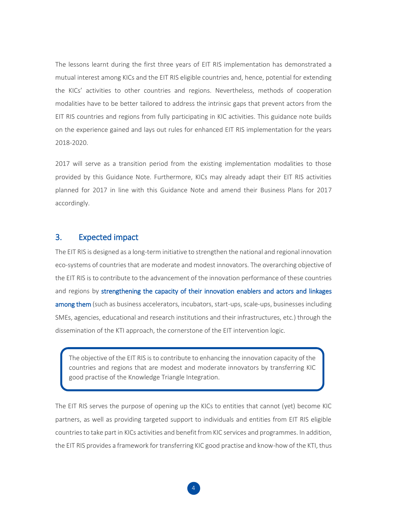The lessons learnt during the first three years of EIT RIS implementation has demonstrated a mutual interest among KICs and the EIT RIS eligible countries and, hence, potential for extending the KICs' activities to other countries and regions. Nevertheless, methods of cooperation modalities have to be better tailored to address the intrinsic gaps that prevent actors from the EIT RIS countries and regions from fully participating in KIC activities. This guidance note builds on the experience gained and lays out rules for enhanced EIT RIS implementation for the years 2018-2020.

2017 will serve as a transition period from the existing implementation modalities to those provided by this Guidance Note. Furthermore, KICs may already adapt their EIT RIS activities planned for 2017 in line with this Guidance Note and amend their Business Plans for 2017 accordingly.

## <span id="page-4-0"></span>3. Expected impact

The EIT RIS is designed as a long-term initiative to strengthen the national and regional innovation eco-systems of countries that are moderate and modest innovators. The overarching objective of the EIT RIS is to contribute to the advancement of the innovation performance of these countries and regions by strengthening the capacity of their innovation enablers and actors and linkages among them (such as business accelerators, incubators, start-ups, scale-ups, businesses including SMEs, agencies, educational and research institutions and their infrastructures, etc.) through the dissemination of the KTI approach, the cornerstone of the EIT intervention logic.

The objective of the EIT RIS is to contribute to enhancing the innovation capacity of the countries and regions that are modest and moderate innovators by transferring KIC good practise of the Knowledge Triangle Integration.

The EIT RIS serves the purpose of opening up the KICs to entities that cannot (yet) become KIC partners, as well as providing targeted support to individuals and entities from EIT RIS eligible countries to take part in KICs activities and benefit from KIC services and programmes. In addition, the EIT RIS provides a framework for transferring KIC good practise and know-how of the KTI, thus **the contribution of the EIT to a more innovative Europe**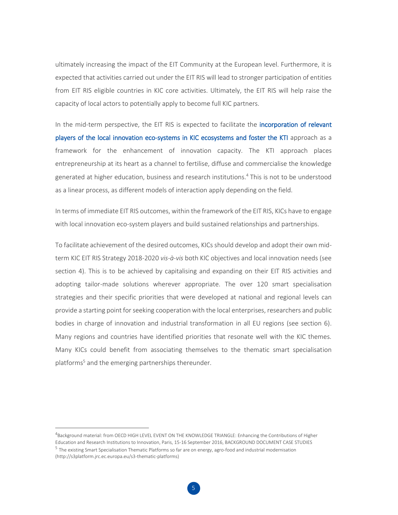ultimately increasing the impact of the EIT Community at the European level. Furthermore, it is expected that activities carried out under the EIT RIS will lead to stronger participation of entities from EIT RIS eligible countries in KIC core activities. Ultimately, the EIT RIS will help raise the capacity of local actors to potentially apply to become full KIC partners.

In the mid-term perspective, the EIT RIS is expected to facilitate the incorporation of relevant players of the local innovation eco-systems in KIC ecosystems and foster the KTI approach as a framework for the enhancement of innovation capacity. The KTI approach places entrepreneurship at its heart as a channel to fertilise, diffuse and commercialise the knowledge generated at higher education, business and research institutions.<sup>4</sup> This is not to be understood as a linear process, as different models of interaction apply depending on the field.

In terms of immediate EIT RIS outcomes, within the framework of the EIT RIS, KICs have to engage with local innovation eco-system players and build sustained relationships and partnerships.

To facilitate achievement of the desired outcomes, KICs should develop and adopt their own midterm KIC EIT RIS Strategy 2018-2020 *vis-à-vis* both KIC objectives and local innovation needs (see section 4). This is to be achieved by capitalising and expanding on their EIT RIS activities and adopting tailor-made solutions wherever appropriate. The over 120 smart specialisation strategies and their specific priorities that were developed at national and regional levels can provide a starting point for seeking cooperation with the local enterprises, researchers and public bodies in charge of innovation and industrial transformation in all EU regions (see section 6). Many regions and countries have identified priorities that resonate well with the KIC themes. Many KICs could benefit from associating themselves to the thematic smart specialisation platforms<sup>5</sup> and the emerging partnerships thereunder.

<sup>4</sup> Background material: from OECD HIGH LEVEL EVENT ON THE KNOWLEDGE TRIANGLE: Enhancing the Contributions of Higher

Education and Research Institutions to Innovation, Paris, 15-16 September 2016, BACKGROUND DOCUMENT CASE STUDIES <sup>5</sup> The existing Smart Specialisation Thematic Platforms so far are on energy, agro-food and industrial modernisation [\(http://s3platform.jrc.ec.europa.eu/s3-thematic-platforms\)](http://s3platform.jrc.ec.europa.eu/s3-thematic-platforms)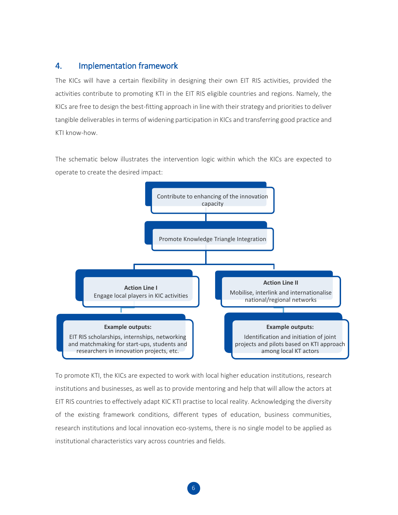# <span id="page-6-0"></span>4. Implementation framework

The KICs will have a certain flexibility in designing their own EIT RIS activities, provided the activities contribute to promoting KTI in the EIT RIS eligible countries and regions. Namely, the KICs are free to design the best-fitting approach in line with their strategy and priorities to deliver tangible deliverables in terms of widening participation in KICs and transferring good practice and KTI know-how.

The schematic below illustrates the intervention logic within which the KICs are expected to operate to create the desired impact:



To promote KTI, the KICs are expected to work with local higher education institutions, research institutions and businesses, as well as to provide mentoring and help that will allow the actors at EIT RIS countries to effectively adapt KIC KTI practise to local reality. Acknowledging the diversity of the existing framework conditions, different types of education, business communities, research institutions and local innovation eco-systems, there is no single model to be applied as institutional characteristics vary across countries and fields.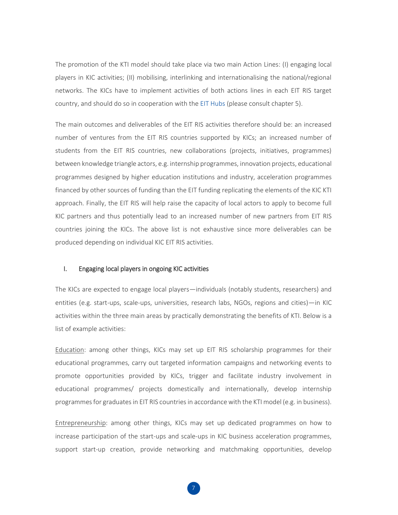The promotion of the KTI model should take place via two main Action Lines: (I) engaging local players in KIC activities; (II) mobilising, interlinking and internationalising the national/regional networks. The KICs have to implement activities of both actions lines in each EIT RIS target country, and should do so in cooperation with the EIT Hubs (please consult chapter 5).

The main outcomes and deliverables of the EIT RIS activities therefore should be: an increased number of ventures from the EIT RIS countries supported by KICs; an increased number of students from the EIT RIS countries, new collaborations (projects, initiatives, programmes) between knowledge triangle actors, e.g. internship programmes, innovation projects, educational programmes designed by higher education institutions and industry, acceleration programmes financed by other sources of funding than the EIT funding replicating the elements of the KIC KTI approach. Finally, the EIT RIS will help raise the capacity of local actors to apply to become full KIC partners and thus potentially lead to an increased number of new partners from EIT RIS countries joining the KICs. The above list is not exhaustive since more deliverables can be produced depending on individual KIC EIT RIS activities.

## I. Engaging local players in ongoing KIC activities

The KICs are expected to engage local players—individuals (notably students, researchers) and entities (e.g. start-ups, scale-ups, universities, research labs, NGOs, regions and cities)—in KIC activities within the three main areas by practically demonstrating the benefits of KTI. Below is a list of example activities:

Education: among other things, KICs may set up EIT RIS scholarship programmes for their educational programmes, carry out targeted information campaigns and networking events to promote opportunities provided by KICs, trigger and facilitate industry involvement in educational programmes/ projects domestically and internationally, develop internship programmes for graduates in EIT RIS countries in accordance with the KTI model (e.g. in business).

Entrepreneurship: among other things, KICs may set up dedicated programmes on how to increase participation of the start-ups and scale-ups in KIC business acceleration programmes, support start-up creation, provide networking and matchmaking opportunities, develop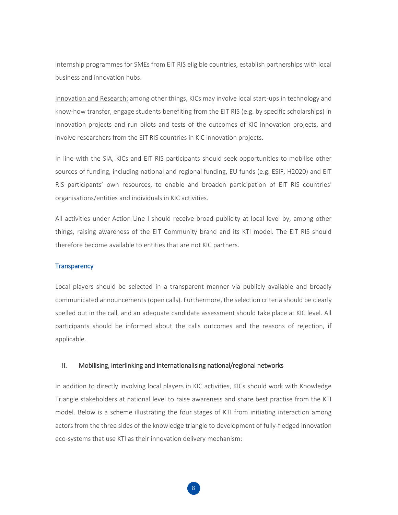internship programmes for SMEs from EIT RIS eligible countries, establish partnerships with local business and innovation hubs.

Innovation and Research: among other things, KICs may involve local start-ups in technology and know-how transfer, engage students benefiting from the EIT RIS (e.g. by specific scholarships) in innovation projects and run pilots and tests of the outcomes of KIC innovation projects, and involve researchers from the EIT RIS countries in KIC innovation projects.

In line with the SIA, KICs and EIT RIS participants should seek opportunities to mobilise other sources of funding, including national and regional funding, EU funds (e.g. ESIF, H2020) and EIT RIS participants' own resources, to enable and broaden participation of EIT RIS countries' organisations/entities and individuals in KIC activities.

All activities under Action Line I should receive broad publicity at local level by, among other things, raising awareness of the EIT Community brand and its KTI model. The EIT RIS should therefore become available to entities that are not KIC partners.

#### **Transparency**

Local players should be selected in a transparent manner via publicly available and broadly communicated announcements (open calls). Furthermore, the selection criteria should be clearly spelled out in the call, and an adequate candidate assessment should take place at KIC level. All participants should be informed about the calls outcomes and the reasons of rejection, if applicable.

#### II. Mobilising, interlinking and internationalising national/regional networks

In addition to directly involving local players in KIC activities, KICs should work with Knowledge Triangle stakeholders at national level to raise awareness and share best practise from the KTI model. Below is a scheme illustrating the four stages of KTI from initiating interaction among actors from the three sides of the knowledge triangle to development of fully-fledged innovation eco-systems that use KTI as their innovation delivery mechanism: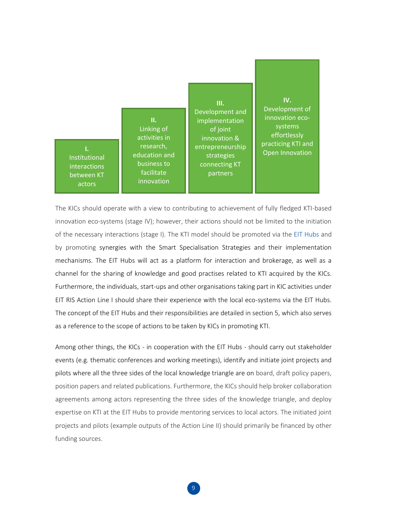

The KICs should operate with a view to contributing to achievement of fully fledged KTI-based innovation eco-systems (stage IV); however, their actions should not be limited to the initiation of the necessary interactions (stage I). The KTI model should be promoted via the EIT Hubs and by promoting synergies with the Smart Specialisation Strategies and their implementation mechanisms. The EIT Hubs will act as a platform for interaction and brokerage, as well as a channel for the sharing of knowledge and good practises related to KTI acquired by the KICs. Furthermore, the individuals, start-ups and other organisations taking part in KIC activities under EIT RIS Action Line I should share their experience with the local eco-systems via the EIT Hubs. The concept of the EIT Hubs and their responsibilities are detailed in section 5, which also serves as a reference to the scope of actions to be taken by KICs in promoting KTI.

Among other things, the KICs - in cooperation with the EIT Hubs - should carry out stakeholder events (e.g. thematic conferences and working meetings), identify and initiate joint projects and pilots where all the three sides of the local knowledge triangle are on board, draft policy papers, position papers and related publications. Furthermore, the KICs should help broker collaboration agreements among actors representing the three sides of the knowledge triangle, and deploy expertise on KTI at the EIT Hubs to provide mentoring services to local actors. The initiated joint projects and pilots (example outputs of the Action Line II) should primarily be financed by other funding sources.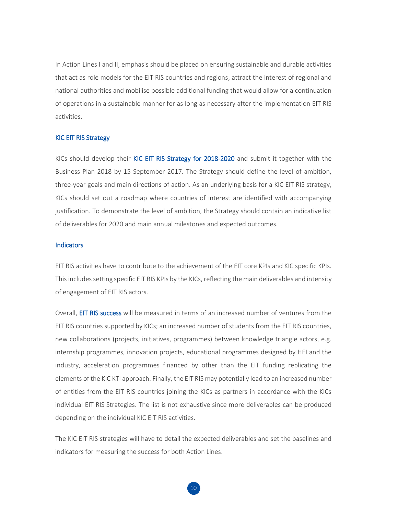In Action Lines I and II, emphasis should be placed on ensuring sustainable and durable activities that act as role models for the EIT RIS countries and regions, attract the interest of regional and national authorities and mobilise possible additional funding that would allow for a continuation of operations in a sustainable manner for as long as necessary after the implementation EIT RIS activities.

#### KIC EIT RIS Strategy

KICs should develop their KIC EIT RIS Strategy for 2018-2020 and submit it together with the Business Plan 2018 by 15 September 2017. The Strategy should define the level of ambition, three-year goals and main directions of action. As an underlying basis for a KIC EIT RIS strategy, KICs should set out a roadmap where countries of interest are identified with accompanying justification. To demonstrate the level of ambition, the Strategy should contain an indicative list of deliverables for 2020 and main annual milestones and expected outcomes.

#### **Indicators**

EIT RIS activities have to contribute to the achievement of the EIT core KPIs and KIC specific KPIs. This includes setting specific EIT RIS KPIs by the KICs, reflecting the main deliverables and intensity of engagement of EIT RIS actors.

Overall, EIT RIS success will be measured in terms of an increased number of ventures from the EIT RIS countries supported by KICs; an increased number of students from the EIT RIS countries, new collaborations (projects, initiatives, programmes) between knowledge triangle actors, e.g. internship programmes, innovation projects, educational programmes designed by HEI and the industry, acceleration programmes financed by other than the EIT funding replicating the elements of the KIC KTI approach. Finally, the EIT RIS may potentially lead to an increased number of entities from the EIT RIS countries joining the KICs as partners in accordance with the KICs individual EIT RIS Strategies. The list is not exhaustive since more deliverables can be produced depending on the individual KIC EIT RIS activities.

The KIC EIT RIS strategies will have to detail the expected deliverables and set the baselines and indicators for measuring the success for both Action Lines.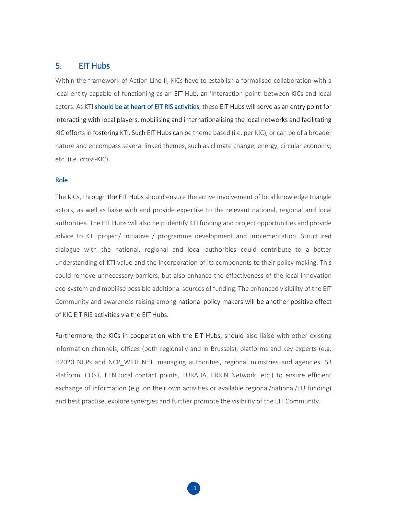# <span id="page-11-0"></span>5. EIT Hubs

Within the framework of Action Line II, KICs have to establish a formalised collaboration with a local entity capable of functioning as an EIT Hub, an 'interaction point' between KICs and local actors. As KTI should be at heart of EIT RIS activities, these EIT Hubs will serve as an entry point for interacting with local players, mobilising and internationalising the local networks and facilitating KIC efforts in fostering KTI. Such EIT Hubs can be theme based (i.e. per KIC), or can be of a broader nature and encompass several linked themes, such as climate change, energy, circular economy, etc. (i.e. cross-KIC).

#### Role

The KICs, through the EIT Hubs should ensure the active involvement of local knowledge triangle actors, as well as liaise with and provide expertise to the relevant national, regional and local authorities. The EIT Hubs will also help identify KTI funding and project opportunities and provide advice to KTI project/ initiative / programme development and implementation. Structured dialogue with the national, regional and local authorities could contribute to a better understanding of KTI value and the incorporation of its components to their policy making. This could remove unnecessary barriers, but also enhance the effectiveness of the local innovation eco-system and mobilise possible additional sources of funding. The enhanced visibility of the EIT Community and awareness raising among national policy makers will be another positive effect of KIC EIT RIS activities via the EIT Hubs.

Furthermore, the KICs in cooperation with the EIT Hubs, should also liaise with other existing information channels, offices (both regionally and in Brussels), platforms and key experts (e.g. H2020 NCPs and NCP WIDE.NET, managing authorities, regional ministries and agencies, S3 Platform, COST, EEN local contact points, EURADA, ERRIN Network, etc.) to ensure efficient exchange of information (e.g. on their own activities or available regional/national/EU funding) and best practise, explore synergies and further promote the visibility of the EIT Community.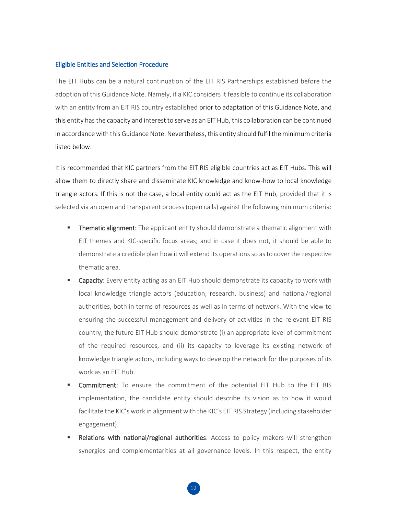### Eligible Entities and Selection Procedure

The EIT Hubs can be a natural continuation of the EIT RIS Partnerships established before the adoption of this Guidance Note. Namely, if a KIC considers it feasible to continue its collaboration with an entity from an EIT RIS country established prior to adaptation of this Guidance Note, and this entity has the capacity and interest to serve as an EIT Hub, this collaboration can be continued in accordance with this Guidance Note. Nevertheless, this entity should fulfil the minimum criteria listed below.

It is recommended that KIC partners from the EIT RIS eligible countries act as EIT Hubs. This will allow them to directly share and disseminate KIC knowledge and know-how to local knowledge triangle actors. If this is not the case, a local entity could act as the EIT Hub, provided that it is selected via an open and transparent process (open calls) against the following minimum criteria:

- **Thematic alignment:** The applicant entity should demonstrate a thematic alignment with EIT themes and KIC-specific focus areas; and in case it does not, it should be able to demonstrate a credible plan how it will extend its operations so as to cover the respective thematic area.
- Capacity: Every entity acting as an EIT Hub should demonstrate its capacity to work with local knowledge triangle actors (education, research, business) and national/regional authorities, both in terms of resources as well as in terms of network. With the view to ensuring the successful management and delivery of activities in the relevant EIT RIS country, the future EIT Hub should demonstrate (i) an appropriate level of commitment of the required resources, and (ii) its capacity to leverage its existing network of knowledge triangle actors, including ways to develop the network for the purposes of its work as an EIT Hub.
- Commitment: To ensure the commitment of the potential EIT Hub to the EIT RIS implementation, the candidate entity should describe its vision as to how it would facilitate the KIC's work in alignment with the KIC's EIT RIS Strategy (including stakeholder engagement).
- Relations with national/regional authorities: Access to policy makers will strengthen synergies and complementarities at all governance levels. In this respect, the entity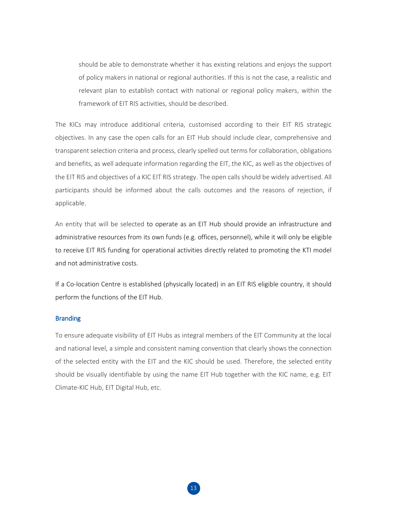should be able to demonstrate whether it has existing relations and enjoys the support of policy makers in national or regional authorities. If this is not the case, a realistic and relevant plan to establish contact with national or regional policy makers, within the framework of EIT RIS activities, should be described.

The KICs may introduce additional criteria, customised according to their EIT RIS strategic objectives. In any case the open calls for an EIT Hub should include clear, comprehensive and transparent selection criteria and process, clearly spelled out terms for collaboration, obligations and benefits, as well adequate information regarding the EIT, the KIC, as well as the objectives of the EIT RIS and objectives of a KIC EIT RIS strategy. The open calls should be widely advertised. All participants should be informed about the calls outcomes and the reasons of rejection, if applicable.

An entity that will be selected to operate as an EIT Hub should provide an infrastructure and administrative resources from its own funds (e.g. offices, personnel), while it will only be eligible to receive EIT RIS funding for operational activities directly related to promoting the KTI model and not administrative costs.

If a Co-location Centre is established (physically located) in an EIT RIS eligible country, it should perform the functions of the EIT Hub.

## Branding

To ensure adequate visibility of EIT Hubs as integral members of the EIT Community at the local and national level, a simple and consistent naming convention that clearly shows the connection of the selected entity with the EIT and the KIC should be used. Therefore, the selected entity should be visually identifiable by using the name EIT Hub together with the KIC name, e.g. EIT Climate-KIC Hub, EIT Digital Hub, etc.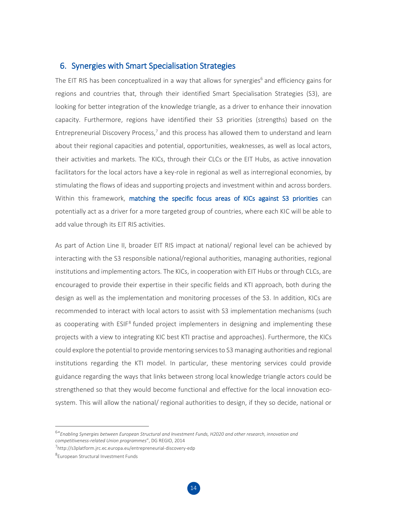## <span id="page-14-0"></span>6. Synergies with Smart Specialisation Strategies

The EIT RIS has been conceptualized in a way that allows for synergies<sup>6</sup> and efficiency gains for regions and countries that, through their identified Smart Specialisation Strategies (S3), are looking for better integration of the knowledge triangle, as a driver to enhance their innovation capacity. Furthermore, regions have identified their S3 priorities (strengths) based on the Entrepreneurial Discovery Process,<sup>7</sup> and this process has allowed them to understand and learn about their regional capacities and potential, opportunities, weaknesses, as well as local actors, their activities and markets. The KICs, through their CLCs or the EIT Hubs, as active innovation facilitators for the local actors have a key-role in regional as well as interregional economies, by stimulating the flows of ideas and supporting projects and investment within and across borders. Within this framework, matching the specific focus areas of KICs against S3 priorities can potentially act as a driver for a more targeted group of countries, where each KIC will be able to add value through its EIT RIS activities.

As part of Action Line II, broader EIT RIS impact at national/ regional level can be achieved by interacting with the S3 responsible national/regional authorities, managing authorities, regional institutions and implementing actors. The KICs, in cooperation with EIT Hubs or through CLCs, are encouraged to provide their expertise in their specific fields and KTI approach, both during the design as well as the implementation and monitoring processes of the S3. In addition, KICs are recommended to interact with local actors to assist with S3 implementation mechanisms (such as cooperating with ESIF<sup>8</sup> funded project implementers in designing and implementing these projects with a view to integrating KIC best KTI practise and approaches). Furthermore, the KICs could explore the potential to provide mentoring services to S3 managing authorities and regional institutions regarding the KTI model. In particular, these mentoring services could provide guidance regarding the ways that links between strong local knowledge triangle actors could be strengthened so that they would become functional and effective for the local innovation ecosystem. This will allow the national/ regional authorities to design, if they so decide, national or

<sup>6</sup> "*Enabling Synergies between European Structural and Investment Funds, H2020 and other research, innovation and competitiveness-related Union programmes*", DG REGIO, 2014

<sup>7</sup> <http://s3platform.jrc.ec.europa.eu/entrepreneurial-discovery-edp>

<sup>8</sup> European Structural Investment Funds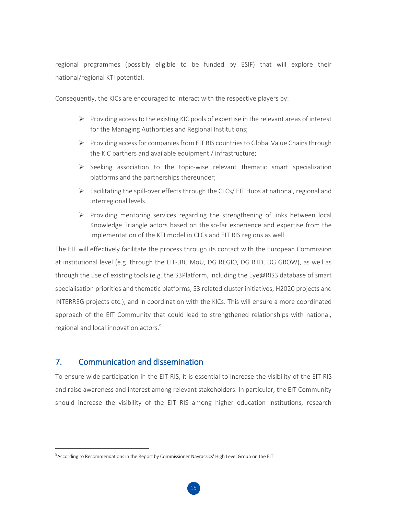regional programmes (possibly eligible to be funded by ESIF) that will explore their national/regional KTI potential.

Consequently, the KICs are encouraged to interact with the respective players by:

- $\triangleright$  Providing access to the existing KIC pools of expertise in the relevant areas of interest for the Managing Authorities and Regional Institutions;
- Providing access for companies from EIT RIS countries to Global Value Chains through the KIC partners and available equipment / infrastructure;
- $\triangleright$  Seeking association to the topic-wise relevant thematic smart specialization platforms and the partnerships thereunder;
- $\triangleright$  Facilitating the spill-over effects through the CLCs/ EIT Hubs at national, regional and interregional levels.
- $\triangleright$  Providing mentoring services regarding the strengthening of links between local Knowledge Triangle actors based on the so-far experience and expertise from the implementation of the KTI model in CLCs and EIT RIS regions as well.

The EIT will effectively facilitate the process through its contact with the European Commission at institutional level (e.g. through the EIT-JRC MoU, DG REGIO, DG RTD, DG GROW), as well as through the use of existing tools (e.g. the S3Platform, including the Eye@RIS3 database of smart specialisation priorities and thematic platforms, S3 related cluster initiatives, H2020 projects and INTERREG projects etc.), and in coordination with the KICs. This will ensure a more coordinated approach of the EIT Community that could lead to strengthened relationships with national, regional and local innovation actors.<sup>9</sup>

# <span id="page-15-0"></span>7. Communication and dissemination

 $\overline{a}$ 

To ensure wide participation in the EIT RIS, it is essential to increase the visibility of the EIT RIS and raise awareness and interest among relevant stakeholders. In particular, the EIT Community should increase the visibility of the EIT RIS among higher education institutions, research

 $^9$ According to Recommendations in the Report by Commissioner Navracsics' High Level Group on the EIT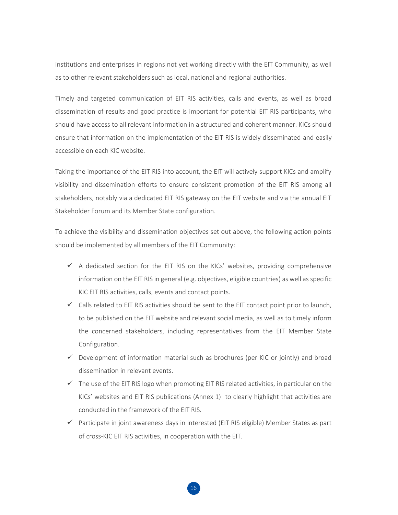institutions and enterprises in regions not yet working directly with the EIT Community, as well as to other relevant stakeholders such as local, national and regional authorities.

Timely and targeted communication of EIT RIS activities, calls and events, as well as broad dissemination of results and good practice is important for potential EIT RIS participants, who should have access to all relevant information in a structured and coherent manner. KICs should ensure that information on the implementation of the EIT RIS is widely disseminated and easily accessible on each KIC website.

Taking the importance of the EIT RIS into account, the EIT will actively support KICs and amplify visibility and dissemination efforts to ensure consistent promotion of the EIT RIS among all stakeholders, notably via a dedicated EIT RIS gateway on the EIT website and via the annual EIT Stakeholder Forum and its Member State configuration.

To achieve the visibility and dissemination objectives set out above, the following action points should be implemented by all members of the EIT Community:

- $\checkmark$  A dedicated section for the EIT RIS on the KICs' websites, providing comprehensive information on the EIT RIS in general (e.g. objectives, eligible countries) as well as specific KIC EIT RIS activities, calls, events and contact points.
- $\checkmark$  Calls related to EIT RIS activities should be sent to the EIT contact point prior to launch, to be published on the EIT website and relevant social media, as well as to timely inform the concerned stakeholders, including representatives from the EIT Member State Configuration.
- $\checkmark$  Development of information material such as brochures (per KIC or jointly) and broad dissemination in relevant events.
- $\checkmark$  The use of the EIT RIS logo when promoting EIT RIS related activities, in particular on the KICs' websites and EIT RIS publications (Annex 1) to clearly highlight that activities are conducted in the framework of the EIT RIS.
- $\checkmark$  Participate in joint awareness days in interested (EIT RIS eligible) Member States as part of cross-KIC EIT RIS activities, in cooperation with the EIT.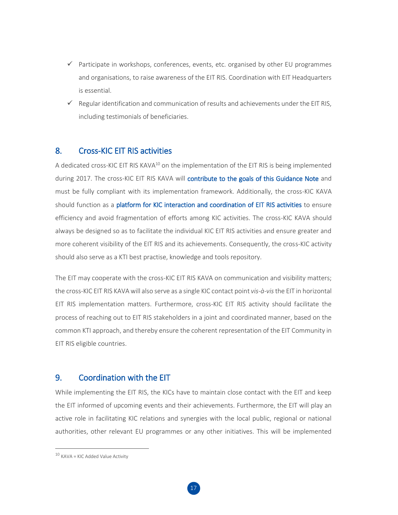- $\checkmark$  Participate in workshops, conferences, events, etc. organised by other EU programmes and organisations, to raise awareness of the EIT RIS. Coordination with EIT Headquarters is essential.
- $\checkmark$  Regular identification and communication of results and achievements under the EIT RIS, including testimonials of beneficiaries.

# <span id="page-17-0"></span>8. Cross-KIC EIT RIS activities

A dedicated cross-KIC EIT RIS KAVA<sup>10</sup> on the implementation of the EIT RIS is being implemented during 2017. The cross-KIC EIT RIS KAVA will contribute to the goals of this Guidance Note and must be fully compliant with its implementation framework. Additionally, the cross-KIC KAVA should function as a platform for KIC interaction and coordination of EIT RIS activities to ensure efficiency and avoid fragmentation of efforts among KIC activities. The cross-KIC KAVA should always be designed so as to facilitate the individual KIC EIT RIS activities and ensure greater and more coherent visibility of the EIT RIS and its achievements. Consequently, the cross-KIC activity should also serve as a KTI best practise, knowledge and tools repository.

The EIT may cooperate with the cross-KIC EIT RIS KAVA on communication and visibility matters; the cross-KIC EIT RIS KAVA will also serve as a single KIC contact point *vis-à-vis*the EIT in horizontal EIT RIS implementation matters. Furthermore, cross-KIC EIT RIS activity should facilitate the process of reaching out to EIT RIS stakeholders in a joint and coordinated manner, based on the common KTI approach, and thereby ensure the coherent representation of the EIT Community in EIT RIS eligible countries.

# <span id="page-17-1"></span>9. Coordination with the EIT

While implementing the EIT RIS, the KICs have to maintain close contact with the EIT and keep the EIT informed of upcoming events and their achievements. Furthermore, the EIT will play an active role in facilitating KIC relations and synergies with the local public, regional or national authorities, other relevant EU programmes or any other initiatives. This will be implemented

 $10$  KAVA = KIC Added Value Activity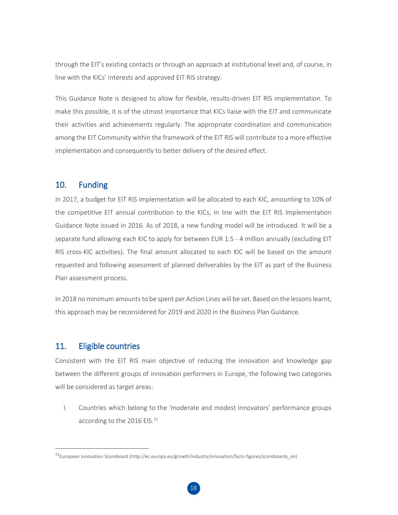through the EIT's existing contacts or through an approach at institutional level and, of course, in line with the KICs' interests and approved EIT RIS strategy.

This Guidance Note is designed to allow for flexible, results-driven EIT RIS implementation. To make this possible, it is of the utmost importance that KICs liaise with the EIT and communicate their activities and achievements regularly. The appropriate coordination and communication among the EIT Community within the framework of the EIT RIS will contribute to a more effective implementation and consequently to better delivery of the desired effect.

## <span id="page-18-0"></span>10. Funding

In 2017, a budget for EIT RIS implementation will be allocated to each KIC, amounting to 10% of the competitive EIT annual contribution to the KICs, in line with the EIT RIS Implementation Guidance Note issued in 2016. As of 2018, a new funding model will be introduced. It will be a separate fund allowing each KIC to apply for between EUR 1.5 - 4 million annually (excluding EIT RIS cross-KIC activities). The final amount allocated to each KIC will be based on the amount requested and following assessment of planned deliverables by the EIT as part of the Business Plan assessment process.

In 2018 no minimum amounts to be spent per Action Lines will be set. Based on the lessons learnt, this approach may be reconsidered for 2019 and 2020 in the Business Plan Guidance.

## <span id="page-18-1"></span>11. Eligible countries

 $\overline{a}$ 

Consistent with the EIT RIS main objective of reducing the innovation and knowledge gap between the different groups of innovation performers in Europe, the following two categories will be considered as target areas:

I. Countries which belong to the 'moderate and modest innovators' performance groups according to the 2016 EIS.<sup>11</sup>

<sup>11</sup>European Innovation Scoreboard (http://ec.europa.eu/growth/industry/innovation/facts-figures/scoreboards\_en)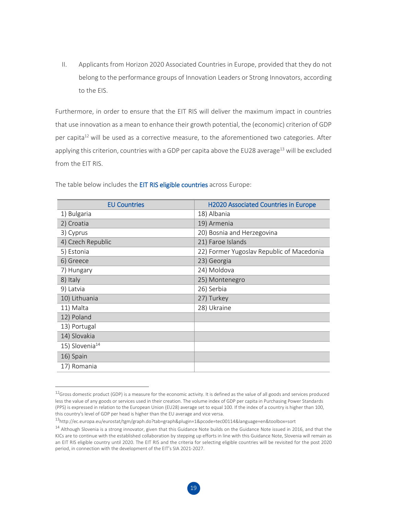II. Applicants from Horizon 2020 Associated Countries in Europe, provided that they do not belong to the performance groups of Innovation Leaders or Strong Innovators, according to the EIS.

Furthermore, in order to ensure that the EIT RIS will deliver the maximum impact in countries that use innovation as a mean to enhance their growth potential, the (economic) criterion of GDP per capita<sup>12</sup> will be used as a corrective measure, to the aforementioned two categories. After applying this criterion, countries with a GDP per capita above the EU28 average<sup>13</sup> will be excluded from the EIT RIS.

| <b>EU Countries</b>        | <b>H2020 Associated Countries in Europe</b> |
|----------------------------|---------------------------------------------|
| 1) Bulgaria                | 18) Albania                                 |
| 2) Croatia                 | 19) Armenia                                 |
| 3) Cyprus                  | 20) Bosnia and Herzegovina                  |
| 4) Czech Republic          | 21) Faroe Islands                           |
| 5) Estonia                 | 22) Former Yugoslav Republic of Macedonia   |
| 6) Greece                  | 23) Georgia                                 |
| 7) Hungary                 | 24) Moldova                                 |
| 8) Italy                   | 25) Montenegro                              |
| 9) Latvia                  | 26) Serbia                                  |
| 10) Lithuania              | 27) Turkey                                  |
| 11) Malta                  | 28) Ukraine                                 |
| 12) Poland                 |                                             |
| 13) Portugal               |                                             |
| 14) Slovakia               |                                             |
| 15) Slovenia <sup>14</sup> |                                             |
| 16) Spain                  |                                             |
| 17) Romania                |                                             |

The table below includes the EIT RIS eligible countries across Europe:

 $^{12}$ Gross domestic product (GDP) is a measure for the economic activity. It is defined as the value of all goods and services produced less the value of any goods or services used in their creation. The volume index of GDP per capita in Purchasing Power Standards (PPS) is expressed in relation to the European Union (EU28) average set to equal 100. If the index of a country is higher than 100, this country's level of GDP per head is higher than the EU average and vice versa.

<sup>13</sup><http://ec.europa.eu/eurostat/tgm/graph.do?tab=graph&plugin=1&pcode=tec00114&language=en&toolbox=sort>

 $14$  Although Slovenia is a strong innovator, given that this Guidance Note builds on the Guidance Note issued in 2016, and that the KICs are to continue with the established collaboration by stepping up efforts in line with this Guidance Note, Slovenia will remain as an EIT RIS eligible country until 2020. The EIT RIS and the criteria for selecting eligible countries will be revisited for the post 2020 period, in connection with the development of the EIT's SIA 2021-2027.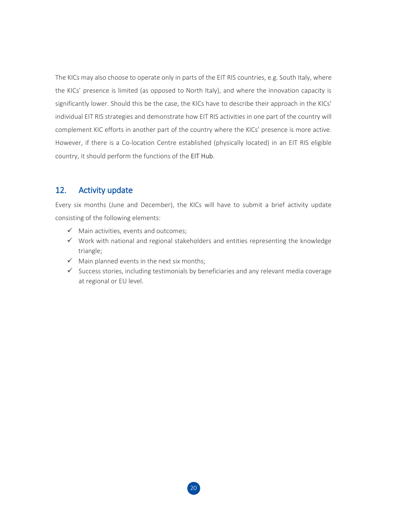The KICs may also choose to operate only in parts of the EIT RIS countries, e.g. South Italy, where the KICs' presence is limited (as opposed to North Italy), and where the innovation capacity is significantly lower. Should this be the case, the KICs have to describe their approach in the KICs' individual EIT RIS strategies and demonstrate how EIT RIS activities in one part of the country will complement KIC efforts in another part of the country where the KICs' presence is more active. However, if there is a Co-location Centre established (physically located) in an EIT RIS eligible country, it should perform the functions of the EIT Hub.

# <span id="page-20-0"></span>12. Activity update

Every six months (June and December), the KICs will have to submit a brief activity update consisting of the following elements:

- $\checkmark$  Main activities, events and outcomes;
- $\checkmark$  Work with national and regional stakeholders and entities representing the knowledge triangle;
- $\checkmark$  Main planned events in the next six months;
- $\checkmark$  Success stories, including testimonials by beneficiaries and any relevant media coverage at regional or EU level.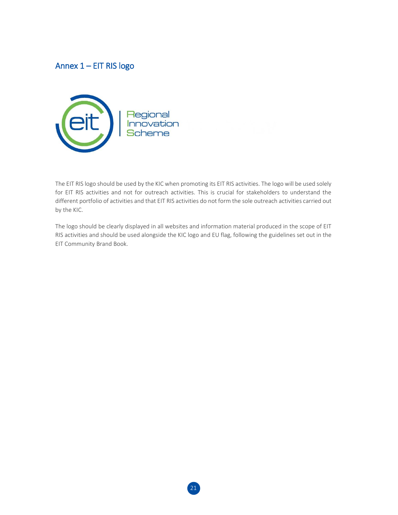# <span id="page-21-0"></span>Annex 1 – EIT RIS logo



The EIT RIS logo should be used by the KIC when promoting its EIT RIS activities. The logo will be used solely for EIT RIS activities and not for outreach activities. This is crucial for stakeholders to understand the different portfolio of activities and that EIT RIS activities do not form the sole outreach activities carried out by the KIC.

The logo should be clearly displayed in all websites and information material produced in the scope of EIT RIS activities and should be used alongside the KIC logo and EU flag, following the guidelines set out in the EIT Community Brand Book.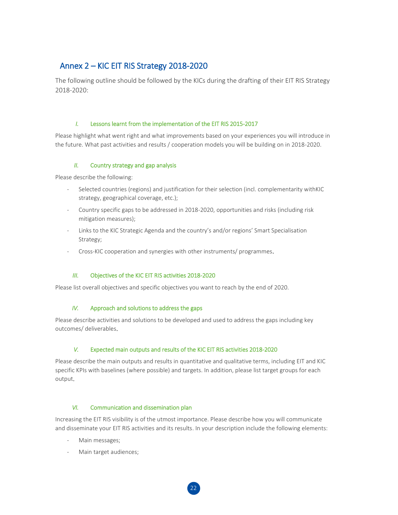# <span id="page-22-0"></span>Annex 2 – KIC EIT RIS Strategy 2018-2020

The following outline should be followed by the KICs during the drafting of their EIT RIS Strategy 2018-2020:

### *I.* Lessons learnt from the implementation of the EIT RIS 2015-2017

Please highlight what went right and what improvements based on your experiences you will introduce in the future. What past activities and results / cooperation models you will be building on in 2018-2020.

## *II.* Country strategy and gap analysis

Please describe the following:

- Selected countries (regions) and justification for their selection (incl. complementarity withKIC strategy, geographical coverage, etc.);
- Country specific gaps to be addressed in 2018-2020, opportunities and risks (including risk mitigation measures);
- Links to the KIC Strategic Agenda and the country's and/or regions' Smart Specialisation Strategy;
- Cross-KIC cooperation and synergies with other instruments/ programmes.

## *III.* Objectives of the KIC EIT RIS activities 2018-2020

Please list overall objectives and specific objectives you want to reach by the end of 2020.

### *IV.* Approach and solutions to address the gaps

Please describe activities and solutions to be developed and used to address the gaps including key outcomes/ deliverables.

### *V.* Expected main outputs and results of the KIC EIT RIS activities 2018-2020

Please describe the main outputs and results in quantitative and qualitative terms, including EIT and KIC specific KPIs with baselines (where possible) and targets. In addition, please list target groups for each output.

### *VI.* Communication and dissemination plan

Increasing the EIT RIS visibility is of the utmost importance. Please describe how you will communicate and disseminate your EIT RIS activities and its results. In your description include the following elements:

- Main messages;
- Main target audiences;